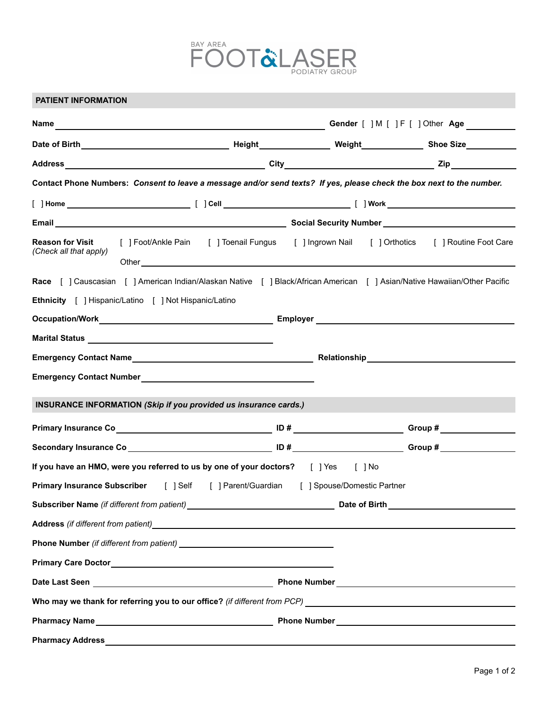

| <b>PATIENT INFORMATION</b>                                                            |                                                                                                                       |                                                                                                                                                                                                                                                                                                                                    |  |  |                                  |  |
|---------------------------------------------------------------------------------------|-----------------------------------------------------------------------------------------------------------------------|------------------------------------------------------------------------------------------------------------------------------------------------------------------------------------------------------------------------------------------------------------------------------------------------------------------------------------|--|--|----------------------------------|--|
|                                                                                       |                                                                                                                       |                                                                                                                                                                                                                                                                                                                                    |  |  | Gender [ ] M [ ] F [ ] Other Age |  |
|                                                                                       |                                                                                                                       |                                                                                                                                                                                                                                                                                                                                    |  |  |                                  |  |
|                                                                                       |                                                                                                                       |                                                                                                                                                                                                                                                                                                                                    |  |  |                                  |  |
|                                                                                       | Contact Phone Numbers: Consent to leave a message and/or send texts? If yes, please check the box next to the number. |                                                                                                                                                                                                                                                                                                                                    |  |  |                                  |  |
|                                                                                       |                                                                                                                       |                                                                                                                                                                                                                                                                                                                                    |  |  |                                  |  |
|                                                                                       |                                                                                                                       |                                                                                                                                                                                                                                                                                                                                    |  |  |                                  |  |
| <b>Reason for Visit</b><br>(Check all that apply)                                     |                                                                                                                       | [ ] Foot/Ankle Pain [ ] Toenail Fungus [ ] Ingrown Nail [ ] Orthotics [ ] Routine Foot Care<br>Other <u>contracts</u> and contracts are all the contracts of the contracts of the contracts of the contracts of the contracts of the contracts of the contracts of the contracts of the contracts of the contracts of the contract |  |  |                                  |  |
|                                                                                       |                                                                                                                       | Race [ ] Causcasian [ ] American Indian/Alaskan Native [ ] Black/African American [ ] Asian/Native Hawaiian/Other Pacific                                                                                                                                                                                                          |  |  |                                  |  |
|                                                                                       | Ethnicity [ ] Hispanic/Latino [ ] Not Hispanic/Latino                                                                 |                                                                                                                                                                                                                                                                                                                                    |  |  |                                  |  |
|                                                                                       |                                                                                                                       |                                                                                                                                                                                                                                                                                                                                    |  |  |                                  |  |
|                                                                                       |                                                                                                                       |                                                                                                                                                                                                                                                                                                                                    |  |  |                                  |  |
|                                                                                       |                                                                                                                       |                                                                                                                                                                                                                                                                                                                                    |  |  |                                  |  |
|                                                                                       |                                                                                                                       |                                                                                                                                                                                                                                                                                                                                    |  |  |                                  |  |
|                                                                                       |                                                                                                                       | INSURANCE INFORMATION (Skip if you provided us insurance cards.)                                                                                                                                                                                                                                                                   |  |  |                                  |  |
|                                                                                       |                                                                                                                       |                                                                                                                                                                                                                                                                                                                                    |  |  |                                  |  |
|                                                                                       |                                                                                                                       |                                                                                                                                                                                                                                                                                                                                    |  |  |                                  |  |
|                                                                                       |                                                                                                                       |                                                                                                                                                                                                                                                                                                                                    |  |  |                                  |  |
|                                                                                       |                                                                                                                       | If you have an HMO, were you referred to us by one of your doctors? [ ] Yes [ ] No                                                                                                                                                                                                                                                 |  |  |                                  |  |
| Primary Insurance Subscriber [ ] Self [ ] Parent/Guardian [ ] Spouse/Domestic Partner |                                                                                                                       |                                                                                                                                                                                                                                                                                                                                    |  |  |                                  |  |
|                                                                                       |                                                                                                                       |                                                                                                                                                                                                                                                                                                                                    |  |  |                                  |  |
|                                                                                       |                                                                                                                       |                                                                                                                                                                                                                                                                                                                                    |  |  |                                  |  |
|                                                                                       |                                                                                                                       |                                                                                                                                                                                                                                                                                                                                    |  |  |                                  |  |
|                                                                                       |                                                                                                                       |                                                                                                                                                                                                                                                                                                                                    |  |  |                                  |  |
|                                                                                       |                                                                                                                       |                                                                                                                                                                                                                                                                                                                                    |  |  |                                  |  |
|                                                                                       |                                                                                                                       |                                                                                                                                                                                                                                                                                                                                    |  |  |                                  |  |
|                                                                                       |                                                                                                                       |                                                                                                                                                                                                                                                                                                                                    |  |  |                                  |  |
| <b>Pharmacy Address</b>                                                               |                                                                                                                       |                                                                                                                                                                                                                                                                                                                                    |  |  |                                  |  |